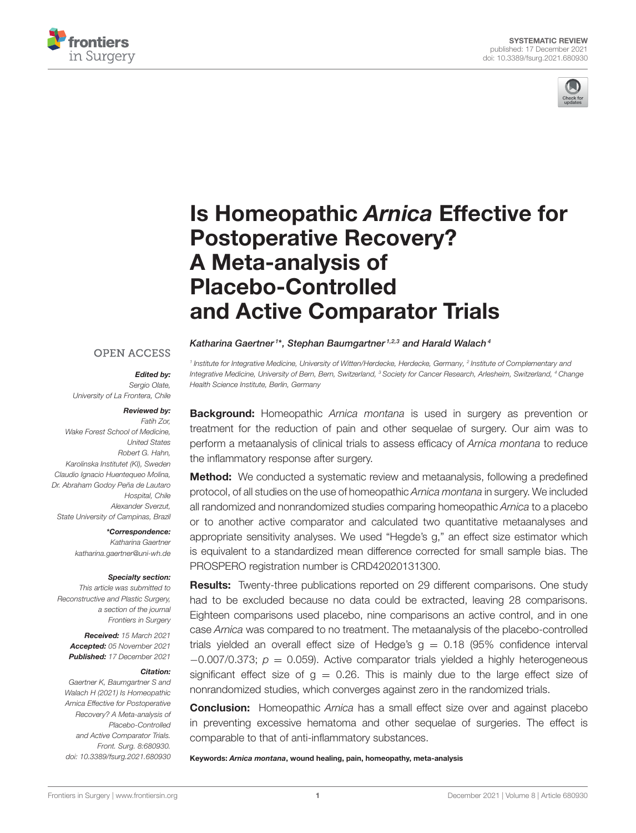



# Is Homeopathic Arnica Effective for Postoperative Recovery? A Meta-analysis of Placebo-Controlled [and Active Comparator Trials](https://www.frontiersin.org/articles/10.3389/fsurg.2021.680930/full)

### **OPEN ACCESS**

#### Edited by:

Sergio Olate, University of La Frontera, Chile

#### Reviewed by:

Fatih Zor, Wake Forest School of Medicine, United States Robert G. Hahn, Karolinska Institutet (KI), Sweden Claudio Ignacio Huentequeo Molina, Dr. Abraham Godoy Peña de Lautaro Hospital, Chile Alexander Sverzut, State University of Campinas, Brazil

> \*Correspondence: Katharina Gaertner [katharina.gaertner@uni-wh.de](mailto:katharina.gaertner@uni-wh.de)

#### Specialty section:

This article was submitted to Reconstructive and Plastic Surgery, a section of the journal Frontiers in Surgery

Received: 15 March 2021 Accepted: 05 November 2021 Published: 17 December 2021

#### Citation:

Gaertner K, Baumgartner S and Walach H (2021) Is Homeopathic Arnica Effective for Postoperative Recovery? A Meta-analysis of Placebo-Controlled and Active Comparator Trials. Front. Surg. 8:680930. doi: [10.3389/fsurg.2021.680930](https://doi.org/10.3389/fsurg.2021.680930)

Katharina Gaertner<sup>1\*</sup>, Stephan Baumgartner<sup>1,2,3</sup> and Harald Walach<sup>4</sup>

<sup>1</sup> Institute for Integrative Medicine, University of Witten/Herdecke, Herdecke, Germany, <sup>2</sup> Institute of Complementary and Integrative Medicine, University of Bern, Bern, Switzerland, <sup>3</sup> Society for Cancer Research, Arlesheim, Switzerland, <sup>4</sup> Change Health Science Institute, Berlin, Germany

**Background:** Homeopathic Arnica montana is used in surgery as prevention or treatment for the reduction of pain and other sequelae of surgery. Our aim was to perform a metaanalysis of clinical trials to assess efficacy of Arnica montana to reduce the inflammatory response after surgery.

**Method:** We conducted a systematic review and metaanalysis, following a predefined protocol, of all studies on the use of homeopathic Arnica montana in surgery. We included all randomized and nonrandomized studies comparing homeopathic Arnica to a placebo or to another active comparator and calculated two quantitative metaanalyses and appropriate sensitivity analyses. We used "Hegde's g," an effect size estimator which is equivalent to a standardized mean difference corrected for small sample bias. The PROSPERO registration number is CRD42020131300.

**Results:** Twenty-three publications reported on 29 different comparisons. One study had to be excluded because no data could be extracted, leaving 28 comparisons. Eighteen comparisons used placebo, nine comparisons an active control, and in one case Arnica was compared to no treatment. The metaanalysis of the placebo-controlled trials yielded an overall effect size of Hedge's  $g = 0.18$  (95% confidence interval  $-0.007/0.373$ ;  $p = 0.059$ ). Active comparator trials yielded a highly heterogeneous significant effect size of  $g = 0.26$ . This is mainly due to the large effect size of nonrandomized studies, which converges against zero in the randomized trials.

**Conclusion:** Homeopathic Arnica has a small effect size over and against placebo in preventing excessive hematoma and other sequelae of surgeries. The effect is comparable to that of anti-inflammatory substances.

Keywords: Arnica montana, wound healing, pain, homeopathy, meta-analysis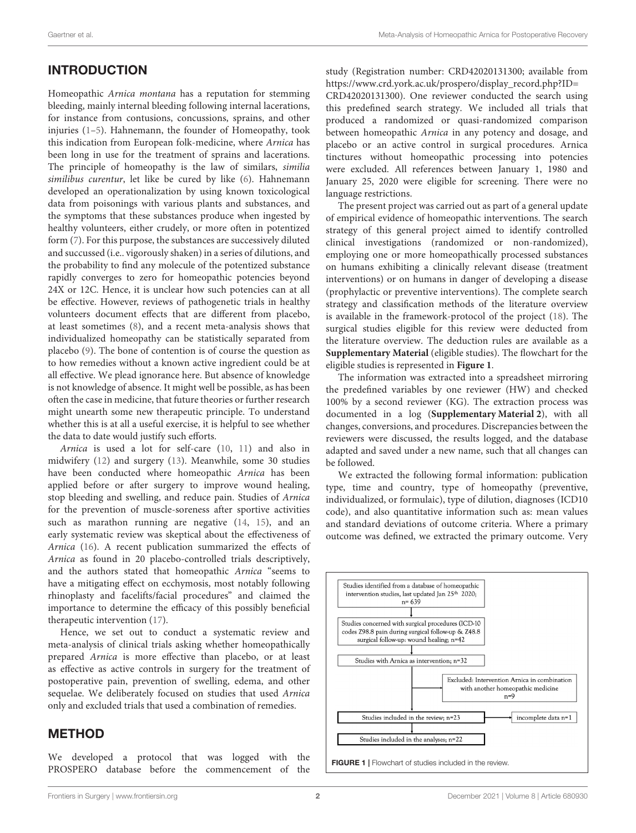# INTRODUCTION

Homeopathic Arnica montana has a reputation for stemming bleeding, mainly internal bleeding following internal lacerations, for instance from contusions, concussions, sprains, and other injuries [\(1–](#page-9-0)[5\)](#page-9-1). Hahnemann, the founder of Homeopathy, took this indication from European folk-medicine, where Arnica has been long in use for the treatment of sprains and lacerations. The principle of homeopathy is the law of similars, similia similibus curentur, let like be cured by like [\(6\)](#page-9-2). Hahnemann developed an operationalization by using known toxicological data from poisonings with various plants and substances, and the symptoms that these substances produce when ingested by healthy volunteers, either crudely, or more often in potentized form [\(7\)](#page-9-3). For this purpose, the substances are successively diluted and succussed (i.e.. vigorously shaken) in a series of dilutions, and the probability to find any molecule of the potentized substance rapidly converges to zero for homeopathic potencies beyond 24X or 12C. Hence, it is unclear how such potencies can at all be effective. However, reviews of pathogenetic trials in healthy volunteers document effects that are different from placebo, at least sometimes [\(8\)](#page-9-4), and a recent meta-analysis shows that individualized homeopathy can be statistically separated from placebo [\(9\)](#page-9-5). The bone of contention is of course the question as to how remedies without a known active ingredient could be at all effective. We plead ignorance here. But absence of knowledge is not knowledge of absence. It might well be possible, as has been often the case in medicine, that future theories or further research might unearth some new therapeutic principle. To understand whether this is at all a useful exercise, it is helpful to see whether the data to date would justify such efforts.

Arnica is used a lot for self-care [\(10,](#page-9-6) [11\)](#page-9-7) and also in midwifery [\(12\)](#page-9-8) and surgery [\(13\)](#page-9-9). Meanwhile, some 30 studies have been conducted where homeopathic Arnica has been applied before or after surgery to improve wound healing, stop bleeding and swelling, and reduce pain. Studies of Arnica for the prevention of muscle-soreness after sportive activities such as marathon running are negative [\(14,](#page-9-10) [15\)](#page-9-11), and an early systematic review was skeptical about the effectiveness of Arnica [\(16\)](#page-9-12). A recent publication summarized the effects of Arnica as found in 20 placebo-controlled trials descriptively, and the authors stated that homeopathic Arnica "seems to have a mitigating effect on ecchymosis, most notably following rhinoplasty and facelifts/facial procedures" and claimed the importance to determine the efficacy of this possibly beneficial therapeutic intervention [\(17\)](#page-9-13).

Hence, we set out to conduct a systematic review and meta-analysis of clinical trials asking whether homeopathically prepared Arnica is more effective than placebo, or at least as effective as active controls in surgery for the treatment of postoperative pain, prevention of swelling, edema, and other sequelae. We deliberately focused on studies that used Arnica only and excluded trials that used a combination of remedies.

# METHOD

We developed a protocol that was logged with the PROSPERO database before the commencement of the study (Registration number: CRD42020131300; available from [https://www.crd.york.ac.uk/prospero/display\\_record.php?ID=](https://www.crd.york.ac.uk/prospero/display_record.php?ID=CRD42020131300)

[CRD42020131300\)](https://www.crd.york.ac.uk/prospero/display_record.php?ID=CRD42020131300). One reviewer conducted the search using this predefined search strategy. We included all trials that produced a randomized or quasi-randomized comparison between homeopathic Arnica in any potency and dosage, and placebo or an active control in surgical procedures. Arnica tinctures without homeopathic processing into potencies were excluded. All references between January 1, 1980 and January 25, 2020 were eligible for screening. There were no language restrictions.

The present project was carried out as part of a general update of empirical evidence of homeopathic interventions. The search strategy of this general project aimed to identify controlled clinical investigations (randomized or non-randomized), employing one or more homeopathically processed substances on humans exhibiting a clinically relevant disease (treatment interventions) or on humans in danger of developing a disease (prophylactic or preventive interventions). The complete search strategy and classification methods of the literature overview is available in the framework-protocol of the project [\(18\)](#page-9-14). The surgical studies eligible for this review were deducted from the literature overview. The deduction rules are available as a **[Supplementary Material](#page-9-15)** (eligible studies). The flowchart for the eligible studies is represented in **[Figure 1](#page-1-0)**.

The information was extracted into a spreadsheet mirroring the predefined variables by one reviewer (HW) and checked 100% by a second reviewer (KG). The extraction process was documented in a log (**[Supplementary Material 2](#page-9-15)**), with all changes, conversions, and procedures. Discrepancies between the reviewers were discussed, the results logged, and the database adapted and saved under a new name, such that all changes can be followed.

We extracted the following formal information: publication type, time and country, type of homeopathy (preventive, individualized, or formulaic), type of dilution, diagnoses (ICD10 code), and also quantitative information such as: mean values and standard deviations of outcome criteria. Where a primary outcome was defined, we extracted the primary outcome. Very



<span id="page-1-0"></span>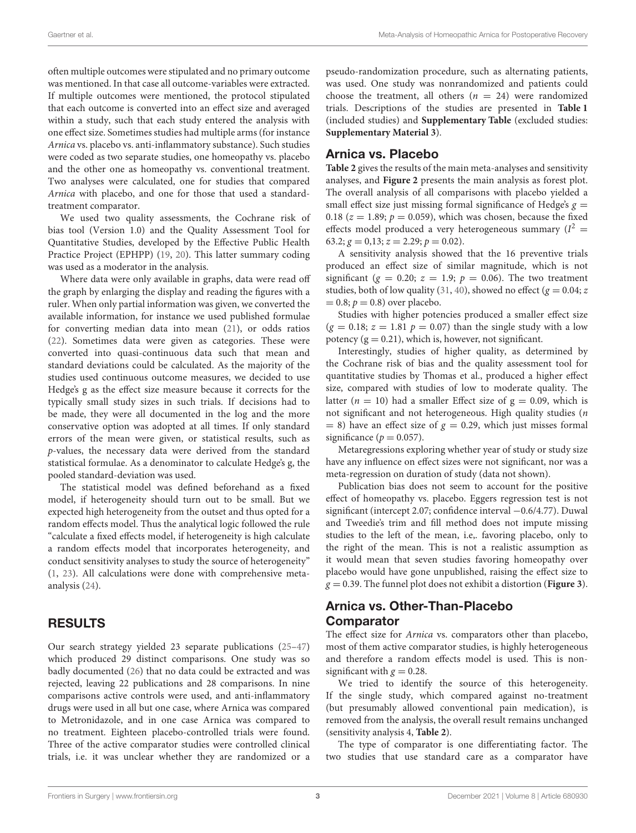often multiple outcomes were stipulated and no primary outcome was mentioned. In that case all outcome-variables were extracted. If multiple outcomes were mentioned, the protocol stipulated that each outcome is converted into an effect size and averaged within a study, such that each study entered the analysis with one effect size. Sometimes studies had multiple arms (for instance Arnica vs. placebo vs. anti-inflammatory substance). Such studies were coded as two separate studies, one homeopathy vs. placebo and the other one as homeopathy vs. conventional treatment. Two analyses were calculated, one for studies that compared Arnica with placebo, and one for those that used a standardtreatment comparator.

We used two quality assessments, the Cochrane risk of bias tool (Version 1.0) and the Quality Assessment Tool for Quantitative Studies, developed by the Effective Public Health Practice Project (EPHPP) [\(19,](#page-9-16) [20\)](#page-9-17). This latter summary coding was used as a moderator in the analysis.

Where data were only available in graphs, data were read off the graph by enlarging the display and reading the figures with a ruler. When only partial information was given, we converted the available information, for instance we used published formulae for converting median data into mean [\(21\)](#page-9-18), or odds ratios [\(22\)](#page-9-19). Sometimes data were given as categories. These were converted into quasi-continuous data such that mean and standard deviations could be calculated. As the majority of the studies used continuous outcome measures, we decided to use Hedge's g as the effect size measure because it corrects for the typically small study sizes in such trials. If decisions had to be made, they were all documented in the log and the more conservative option was adopted at all times. If only standard errors of the mean were given, or statistical results, such as p-values, the necessary data were derived from the standard statistical formulae. As a denominator to calculate Hedge's g, the pooled standard-deviation was used.

The statistical model was defined beforehand as a fixed model, if heterogeneity should turn out to be small. But we expected high heterogeneity from the outset and thus opted for a random effects model. Thus the analytical logic followed the rule "calculate a fixed effects model, if heterogeneity is high calculate a random effects model that incorporates heterogeneity, and conduct sensitivity analyses to study the source of heterogeneity" [\(1,](#page-9-0) [23\)](#page-9-20). All calculations were done with comprehensive metaanalysis [\(24\)](#page-9-21).

## RESULTS

Our search strategy yielded 23 separate publications [\(25–](#page-9-22)[47\)](#page-10-0) which produced 29 distinct comparisons. One study was so badly documented [\(26\)](#page-9-23) that no data could be extracted and was rejected, leaving 22 publications and 28 comparisons. In nine comparisons active controls were used, and anti-inflammatory drugs were used in all but one case, where Arnica was compared to Metronidazole, and in one case Arnica was compared to no treatment. Eighteen placebo-controlled trials were found. Three of the active comparator studies were controlled clinical trials, i.e. it was unclear whether they are randomized or a

pseudo-randomization procedure, such as alternating patients, was used. One study was nonrandomized and patients could choose the treatment, all others  $(n = 24)$  were randomized trials. Descriptions of the studies are presented in **[Table 1](#page-3-0)** (included studies) and **[Supplementary Table](#page-9-15)** (excluded studies: **[Supplementary Material 3](#page-9-15)**).

### Arnica vs. Placebo

**[Table 2](#page-5-0)** gives the results of the main meta-analyses and sensitivity analyses, and **[Figure 2](#page-6-0)** presents the main analysis as forest plot. The overall analysis of all comparisons with placebo yielded a small effect size just missing formal significance of Hedge's  $g =$ 0.18 ( $z = 1.89$ ;  $p = 0.059$ ), which was chosen, because the fixed effects model produced a very heterogeneous summary ( $I^2$  = 63.2;  $g = 0.13$ ;  $z = 2.29$ ;  $p = 0.02$ ).

A sensitivity analysis showed that the 16 preventive trials produced an effect size of similar magnitude, which is not significant ( $g = 0.20$ ;  $z = 1.9$ ;  $p = 0.06$ ). The two treatment studies, both of low quality [\(31,](#page-9-24) [40\)](#page-10-1), showed no effect ( $g = 0.04$ ; z  $= 0.8; p = 0.8$ ) over placebo.

Studies with higher potencies produced a smaller effect size  $(g = 0.18; z = 1.81 p = 0.07)$  than the single study with a low potency  $(g = 0.21)$ , which is, however, not significant.

Interestingly, studies of higher quality, as determined by the Cochrane risk of bias and the quality assessment tool for quantitative studies by Thomas et al., produced a higher effect size, compared with studies of low to moderate quality. The latter ( $n = 10$ ) had a smaller Effect size of  $g = 0.09$ , which is not significant and not heterogeneous. High quality studies (n  $= 8$ ) have an effect size of  $g = 0.29$ , which just misses formal significance ( $p = 0.057$ ).

Metaregressions exploring whether year of study or study size have any influence on effect sizes were not significant, nor was a meta-regression on duration of study (data not shown).

Publication bias does not seem to account for the positive effect of homeopathy vs. placebo. Eggers regression test is not significant (intercept 2.07; confidence interval −0.6/4.77). Duwal and Tweedie's trim and fill method does not impute missing studies to the left of the mean, i.e,. favoring placebo, only to the right of the mean. This is not a realistic assumption as it would mean that seven studies favoring homeopathy over placebo would have gone unpublished, raising the effect size to  $g = 0.39$ . The funnel plot does not exhibit a distortion (**[Figure 3](#page-7-0)**).

# Arnica vs. Other-Than-Placebo Comparator

The effect size for Arnica vs. comparators other than placebo, most of them active comparator studies, is highly heterogeneous and therefore a random effects model is used. This is nonsignificant with  $g = 0.28$ .

We tried to identify the source of this heterogeneity. If the single study, which compared against no-treatment (but presumably allowed conventional pain medication), is removed from the analysis, the overall result remains unchanged (sensitivity analysis 4, **[Table 2](#page-5-0)**).

The type of comparator is one differentiating factor. The two studies that use standard care as a comparator have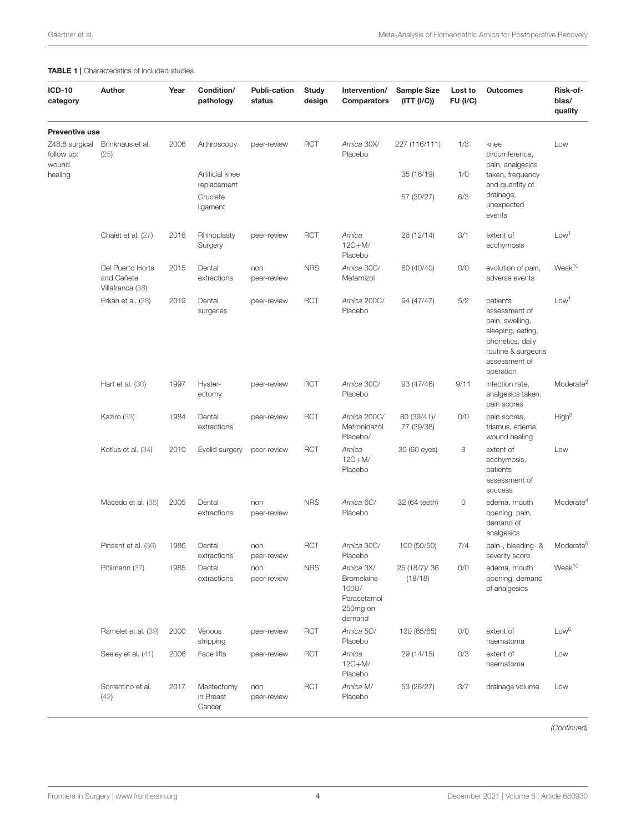#### <span id="page-3-0"></span>TABLE 1 | Characteristics of included studies.

| <b>ICD-10</b><br>category                        | Author                                             | Year | Condition/<br>pathology           | <b>Publi-cation</b><br>status | <b>Study</b><br>design | Intervention/<br>Comparators                                           | <b>Sample Size</b><br>(ITT (I/C)) | Lost to<br><b>FU (I/C)</b> | <b>Outcomes</b>                                                                                                                           | Risk-of-<br>bias/<br>quality |
|--------------------------------------------------|----------------------------------------------------|------|-----------------------------------|-------------------------------|------------------------|------------------------------------------------------------------------|-----------------------------------|----------------------------|-------------------------------------------------------------------------------------------------------------------------------------------|------------------------------|
| <b>Preventive use</b>                            |                                                    |      |                                   |                               |                        |                                                                        |                                   |                            |                                                                                                                                           |                              |
| Z48.8 surgical<br>follow up:<br>wound<br>healing | Brinkhaus et al.<br>(25)                           | 2006 | Arthroscopy                       | peer-review                   | <b>RCT</b>             | Arnica 30X/<br>Placebo                                                 | 227 (116/111)                     | 1/3                        | knee<br>circumference,<br>pain, analgesics                                                                                                | Low                          |
|                                                  |                                                    |      | Artificial knee<br>replacement    |                               |                        |                                                                        | 35 (16/19)                        | 1/0                        | taken, frequency<br>and quantity of                                                                                                       |                              |
|                                                  |                                                    |      | Cruciate<br>ligament              |                               |                        |                                                                        | 57 (30/27)                        | 6/3                        | drainage,<br>unexpected<br>events                                                                                                         |                              |
|                                                  | Chaiet et al. (27)                                 | 2016 | Rhinoplasty<br>Surgery            | peer-review                   | <b>RCT</b>             | Arnica<br>$12C+M/$<br>Placebo                                          | 26 (12/14)                        | 3/1                        | extent of<br>ecchymosis                                                                                                                   | Low <sup>1</sup>             |
|                                                  | Del Puerto Horta<br>and Cañete<br>Villafranca (38) | 2015 | Dental<br>extractions             | non<br>peer-review            | <b>NRS</b>             | Arnica 30C/<br>Metamizol                                               | 80 (40/40)                        | 0/0                        | evolution of pain,<br>adverse events                                                                                                      | Weak <sup>10</sup>           |
|                                                  | Erkan et al. (28)                                  | 2019 | Dental<br>surgeries               | peer-review                   | <b>RCT</b>             | Arnica 200C/<br>Placebo                                                | 94 (47/47)                        | 5/2                        | patients<br>assessment of<br>pain, swelling,<br>sleeping, eating,<br>phonetics, daily<br>routine & surgeons<br>assessment of<br>operation | Low <sup>1</sup>             |
|                                                  | Hart et al. $(30)$                                 | 1997 | Hyster-<br>ectomy                 | peer-review                   | <b>RCT</b>             | Arnica 30C/<br>Placebo                                                 | 93 (47/46)                        | 9/11                       | infection rate.<br>analgesics taken,<br>pain scores                                                                                       | Moderate <sup>2</sup>        |
|                                                  | Kaziro (33)                                        | 1984 | Dental<br>extractions             | peer-review                   | <b>RCT</b>             | Arnica 200C/<br>Metronidazol<br>Placebo/                               | 80 (39/41)/<br>77 (39/38)         | 0/0                        | pain scores,<br>trismus, edema,<br>wound healing                                                                                          | High <sup>3</sup>            |
|                                                  | Kotlus et al. (34)                                 | 2010 | Eyelid surgery                    | peer-review                   | <b>RCT</b>             | Arnica<br>$12C+M/$<br>Placebo                                          | 30 (60 eyes)                      | 3                          | extent of<br>ecchymosis,<br>patients<br>assessment of<br>success                                                                          | Low                          |
|                                                  | Macedo et al. (35)                                 | 2005 | Dental<br>extractions             | non<br>peer-review            | <b>NRS</b>             | Arnica 6C/<br>Placebo                                                  | 32 (64 teeth)                     | $\circ$                    | edema, mouth<br>opening, pain,<br>demand of<br>analgesics                                                                                 | Moderate <sup>4</sup>        |
|                                                  | Pinsent et al. (36)                                | 1986 | Dental<br>extractions             | non<br>peer-review            | <b>RCT</b>             | Arnica 30C/<br>Placebo                                                 | 100 (50/50)                       | 7/4                        | pain-, bleeding- &<br>severity score                                                                                                      | Moderate <sup>5</sup>        |
|                                                  | Pöllmann (37)                                      | 1985 | Dental<br>extractions             | non<br>peer-review            | <b>NRS</b>             | Arnica 3X/<br>Bromelaine<br>100U/<br>Paracetamol<br>250mg on<br>demand | 25 (18/7)/ 36<br>(18/18)          | 0/0                        | edema, mouth<br>opening, demand<br>of analgesics                                                                                          | Weak <sup>10</sup>           |
|                                                  | Ramelet et al. (39)                                | 2000 | Venous<br>stripping               | peer-review                   | <b>RCT</b>             | Arnica 5C/<br>Placebo                                                  | 130 (65/65)                       | 0/0                        | extent of<br>haematoma                                                                                                                    | Low <sup>6</sup>             |
|                                                  | Seeley et al. (41)                                 | 2006 | Face lifts                        | peer-review                   | <b>RCT</b>             | Arnica<br>$12C+M/$<br>Placebo                                          | 29 (14/15)                        | 0/3                        | extent of<br>haematoma                                                                                                                    | Low                          |
|                                                  | Sorrentino et al.<br>(42)                          | 2017 | Mastectomy<br>in Breast<br>Cancer | non<br>peer-review            | <b>RCT</b>             | Arnica M/<br>Placebo                                                   | 53 (26/27)                        | 3/7                        | drainage volume                                                                                                                           | Low                          |

(Continued)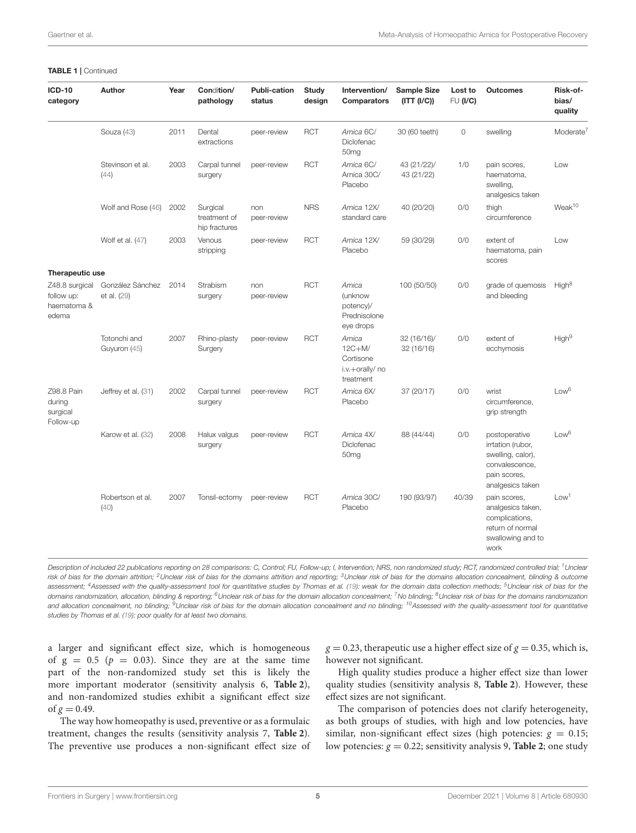#### TABLE 1 | Continued

| <b>ICD-10</b><br>category                            | <b>Author</b>                   | Year | Condition/<br>pathology                   | <b>Publi-cation</b><br>status | <b>Study</b><br>design | Intervention/<br><b>Comparators</b>                             | <b>Sample Size</b><br>(ITT (I/C)) | Lost to<br>FU (I/C) | <b>Outcomes</b>                                                                                               | Risk-of-<br>bias/<br>quality |
|------------------------------------------------------|---------------------------------|------|-------------------------------------------|-------------------------------|------------------------|-----------------------------------------------------------------|-----------------------------------|---------------------|---------------------------------------------------------------------------------------------------------------|------------------------------|
|                                                      | Souza (43)                      | 2011 | Dental<br>extractions                     | peer-review                   | <b>RCT</b>             | Arnica 6C/<br>Diclofenac<br>50 <sub>mg</sub>                    | 30 (60 teeth)                     | $\circ$             | swelling                                                                                                      | Moderate <sup>7</sup>        |
|                                                      | Stevinson et al.<br>(44)        | 2003 | Carpal tunnel<br>surgery                  | peer-review                   | <b>RCT</b>             | Arnica 6C/<br>Arnica 30C/<br>Placebo                            | 43 (21/22)/<br>43 (21/22)         | 1/0                 | pain scores,<br>haematoma,<br>swelling,<br>analgesics taken                                                   | Low                          |
|                                                      | Wolf and Rose (46)              | 2002 | Surgical<br>treatment of<br>hip fractures | non<br>peer-review            | <b>NRS</b>             | Arnica 12X/<br>standard care                                    | 40 (20/20)                        | O/O                 | thigh<br>circumference                                                                                        | Weak <sup>10</sup>           |
|                                                      | Wolf et al. (47)                | 2003 | Venous<br>stripping                       | peer-review                   | <b>RCT</b>             | Arnica 12X/<br>Placebo                                          | 59 (30/29)                        | 0/0                 | extent of<br>haematoma, pain<br>scores                                                                        | Low                          |
| Therapeutic use                                      |                                 |      |                                           |                               |                        |                                                                 |                                   |                     |                                                                                                               |                              |
| Z48.8 surgical<br>follow up:<br>haematoma &<br>edema | González Sánchez<br>et al. (29) | 2014 | Strabism<br>surgery                       | non<br>peer-review            | <b>RCT</b>             | Arnica<br>(unknow<br>potency)/<br>Prednisolone<br>eye drops     | 100 (50/50)                       | O/O                 | grade of quemosis<br>and bleeding                                                                             | High <sup>8</sup>            |
|                                                      | Totonchi and<br>Guyuron (45)    | 2007 | Rhino-plasty<br>Surgery                   | peer-review                   | <b>RCT</b>             | Arnica<br>$12C+M/$<br>Cortisone<br>i.v.+orally/ no<br>treatment | 32 (16/16)/<br>32 (16/16)         | O/O                 | extent of<br>ecchymosis                                                                                       | High <sup>9</sup>            |
| Z98.8 Pain<br>during<br>surgical<br>Follow-up        | Jeffrey et al. (31)             | 2002 | Carpal tunnel<br>surgery                  | peer-review                   | <b>RCT</b>             | Arnica 6X/<br>Placebo                                           | 37 (20/17)                        | O/O                 | wrist<br>circumference,<br>grip strength                                                                      | Low <sup>6</sup>             |
|                                                      | Karow et al. (32)               | 2008 | Halux valgus<br>surgery                   | peer-review                   | <b>RCT</b>             | Arnica 4X/<br>Diclofenac<br>50 <sub>mg</sub>                    | 88 (44/44)                        | O/O                 | postoperative<br>irrtation (rubor,<br>swelling, calor),<br>convalescence,<br>pain scores,<br>analgesics taken | Low <sup>6</sup>             |
|                                                      | Robertson et al.<br>(40)        | 2007 | Tonsil-ectomy                             | peer-review                   | <b>RCT</b>             | Arnica 30C/<br>Placebo                                          | 190 (93/97)                       | 40/39               | pain scores,<br>analgesics taken,<br>complications,<br>return of normal<br>swallowing and to<br>work          | Low <sup>1</sup>             |

Description of included 22 publications reporting on 28 comparisons: C, Control; FU, Follow-up; I, Intervention; NRS, non randomized study; RCT, randomized controlled trial; <sup>1</sup> Unclear risk of bias for the domain attrition; <sup>2</sup>Unclear risk of bias for the domains attrition and reporting; <sup>3</sup>Unclear risk of bias for the domains allocation concealment, blinding & outcome assessment; <sup>4</sup>Assessed with the quality-assessment tool for quantitative studies by Thomas et al. [\(19\)](#page-9-16): weak for the domain data collection methods; <sup>5</sup>Unclear risk of bias for the domains randomization, allocation, blinding & reporting; <sup>6</sup>Unclear risk of bias for the domain allocation concealment; <sup>7</sup> No blinding; <sup>8</sup>Unclear risk of bias for the domains randomization and allocation concealment, no blinding; <sup>9</sup>Unclear risk of bias for the domain allocation concealment and no blinding; <sup>10</sup>Assessed with the quality-assessment tool for quantitative studies by Thomas et al. [\(19\)](#page-9-16): poor quality for at least two domains.

a larger and significant effect size, which is homogeneous of  $g = 0.5$  ( $p = 0.03$ ). Since they are at the same time part of the non-randomized study set this is likely the more important moderator (sensitivity analysis 6, **[Table 2](#page-5-0)**), and non-randomized studies exhibit a significant effect size of  $g = 0.49$ .

The way how homeopathy is used, preventive or as a formulaic treatment, changes the results (sensitivity analysis 7, **[Table 2](#page-5-0)**). The preventive use produces a non-significant effect size of

 $g = 0.23$ , therapeutic use a higher effect size of  $g = 0.35$ , which is, however not significant.

High quality studies produce a higher effect size than lower quality studies (sensitivity analysis 8, **[Table 2](#page-5-0)**). However, these effect sizes are not significant.

The comparison of potencies does not clarify heterogeneity, as both groups of studies, with high and low potencies, have similar, non-significant effect sizes (high potencies:  $g = 0.15$ ; low potencies:  $g = 0.22$ ; sensitivity analysis 9, **[Table 2](#page-5-0)**; one study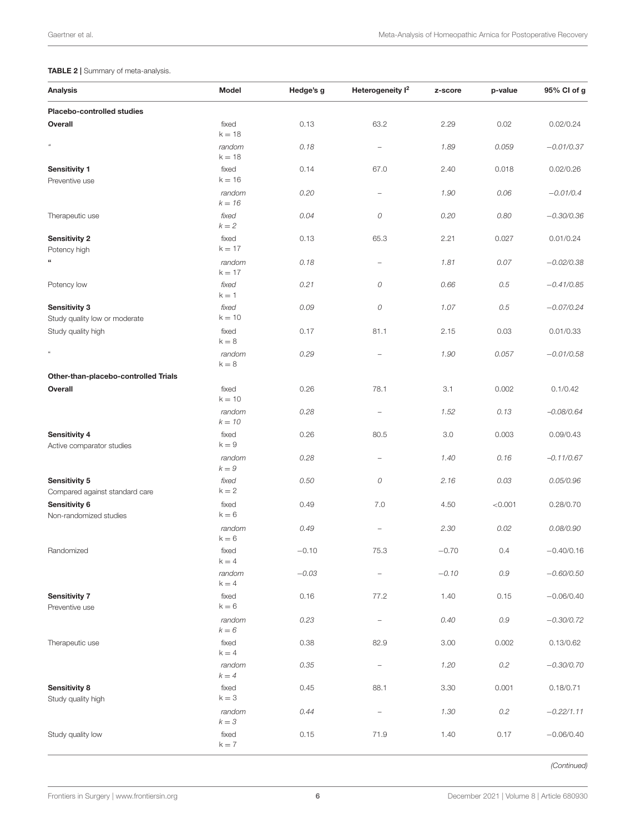### <span id="page-5-0"></span>TABLE 2 | Summary of meta-analysis.

| <b>Analysis</b>                                        | Model                          | Hedge's g | Heterogeneity I <sup>2</sup> | z-score | p-value | 95% CI of g  |
|--------------------------------------------------------|--------------------------------|-----------|------------------------------|---------|---------|--------------|
| Placebo-controlled studies                             |                                |           |                              |         |         |              |
| Overall                                                | fixed                          | 0.13      | 63.2                         | 2.29    | 0.02    | 0.02/0.24    |
| $\mathfrak{a}$                                         | $k = 18$<br>random<br>$k = 18$ | 0.18      | $\overline{\phantom{0}}$     | 1.89    | 0.059   | $-0.01/0.37$ |
| <b>Sensitivity 1</b><br>Preventive use                 | fixed<br>$k = 16$              | 0.14      | 67.0                         | 2.40    | 0.018   | 0.02/0.26    |
|                                                        | random<br>$k = 16$             | 0.20      | $\qquad \qquad -$            | 1.90    | 0.06    | $-0.01/0.4$  |
| Therapeutic use                                        | fixed<br>$k = 2$               | 0.04      | 0                            | 0.20    | 0.80    | $-0.30/0.36$ |
| <b>Sensitivity 2</b><br>Potency high                   | fixed<br>$k = 17$              | 0.13      | 65.3                         | 2.21    | 0.027   | 0.01/0.24    |
|                                                        | random<br>$k = 17$             | 0.18      | $\qquad \qquad -$            | 1.81    | 0.07    | $-0.02/0.38$ |
| Potency low                                            | fixed<br>$k = 1$               | 0.21      | 0                            | 0.66    | 0.5     | $-0.41/0.85$ |
| <b>Sensitivity 3</b><br>Study quality low or moderate  | fixed<br>$k = 10$              | 0.09      | 0                            | 1.07    | 0.5     | $-0.07/0.24$ |
| Study quality high                                     | fixed<br>$k = 8$               | 0.17      | 81.1                         | 2.15    | 0.03    | 0.01/0.33    |
| $\mathfrak{a}$                                         | random<br>$k = 8$              | 0.29      | $\overline{\phantom{0}}$     | 1.90    | 0.057   | $-0.01/0.58$ |
| Other-than-placebo-controlled Trials                   |                                |           |                              |         |         |              |
| Overall                                                | fixed<br>$k = 10$              | 0.26      | 78.1                         | 3.1     | 0.002   | 0.1/0.42     |
|                                                        | random<br>$k = 10$             | 0.28      | $\overline{\phantom{m}}$     | 1.52    | 0.13    | $-0.08/0.64$ |
| <b>Sensitivity 4</b><br>Active comparator studies      | fixed<br>$k = 9$               | 0.26      | 80.5                         | 3.0     | 0.003   | 0.09/0.43    |
|                                                        | random<br>$k=9$                | 0.28      | $\overline{\phantom{0}}$     | 1.40    | 0.16    | $-0.11/0.67$ |
| <b>Sensitivity 5</b><br>Compared against standard care | fixed<br>$k = 2$               | 0.50      | 0                            | 2.16    | 0.03    | 0.05/0.96    |
| Sensitivity 6<br>Non-randomized studies                | fixed<br>$k = 6$               | 0.49      | 7.0                          | 4.50    | < 0.001 | 0.28/0.70    |
|                                                        | random<br>$k = 6$              | 0.49      | $\overline{\phantom{0}}$     | 2.30    | 0.02    | 0.08/0.90    |
| Randomized                                             | fixed<br>$k = 4$               | $-0.10$   | 75.3                         | $-0.70$ | 0.4     | $-0.40/0.16$ |
|                                                        | random<br>$k = 4$              | $-0.03$   |                              | $-0.10$ | $0.9\,$ | $-0.60/0.50$ |
| <b>Sensitivity 7</b><br>Preventive use                 | fixed<br>$k = 6$               | 0.16      | 77.2                         | 1.40    | 0.15    | $-0.06/0.40$ |
|                                                        | random<br>$k = 6$              | 0.23      | $\qquad \qquad -$            | 0.40    | $0.9\,$ | $-0.30/0.72$ |
| Therapeutic use                                        | fixed<br>$k = 4$               | 0.38      | 82.9                         | 3.00    | 0.002   | 0.13/0.62    |
|                                                        | random<br>$k = 4$              | 0.35      | $\qquad \qquad -$            | 1.20    | $0.2\,$ | $-0.30/0.70$ |
| <b>Sensitivity 8</b><br>Study quality high             | fixed<br>$\mathsf{k}=3$        | 0.45      | 88.1                         | 3.30    | 0.001   | 0.18/0.71    |
|                                                        | random<br>$k = 3$              | 0.44      | $\qquad \qquad -$            | 1.30    | $0.2\,$ | $-0.22/1.11$ |
| Study quality low                                      | fixed<br>$k = 7$               | 0.15      | 71.9                         | 1.40    | 0.17    | $-0.06/0.40$ |

(Continued)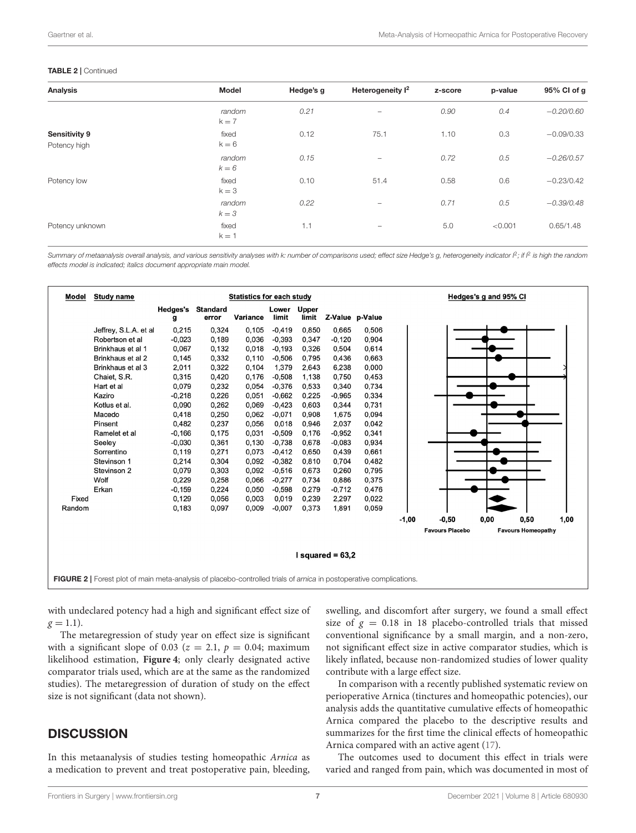#### TABLE 2 | Continued

| <b>Analysis</b>               | <b>Model</b>      | Hedge's g | Heterogeneity I <sup>2</sup> | z-score | p-value | 95% Cl of g  |
|-------------------------------|-------------------|-----------|------------------------------|---------|---------|--------------|
|                               | random<br>$k = 7$ | 0.21      | -                            | 0.90    | 0.4     | $-0.20/0.60$ |
| Sensitivity 9<br>Potency high | fixed<br>$k = 6$  | 0.12      | 75.1                         | 1.10    | 0.3     | $-0.09/0.33$ |
|                               | random<br>$k = 6$ | 0.15      | -                            | 0.72    | 0.5     | $-0.26/0.57$ |
| Potency low                   | fixed<br>$k = 3$  | 0.10      | 51.4                         | 0.58    | 0.6     | $-0.23/0.42$ |
|                               | random<br>$k = 3$ | 0.22      | -                            | 0.71    | 0.5     | $-0.39/0.48$ |
| Potency unknown               | fixed<br>$k = 1$  | 1.1       | $\overline{\phantom{0}}$     | 5.0     | < 0.001 | 0.65/1.48    |

Summary of metaanalysis overall analysis, and various sensitivity analyses with k: number of comparisons used; effect size Hedge's g, heterogeneity indicator  ${}^{\rho}$ ; if  ${}^{\rho}$  is high the random effects model is indicated; italics document appropriate main model.



<span id="page-6-0"></span>with undeclared potency had a high and significant effect size of  $g = 1.1$ ).

The metaregression of study year on effect size is significant with a significant slope of 0.03 ( $z = 2.1$ ,  $p = 0.04$ ; maximum likelihood estimation, **[Figure 4](#page-7-1)**; only clearly designated active comparator trials used, which are at the same as the randomized studies). The metaregression of duration of study on the effect size is not significant (data not shown).

## **DISCUSSION**

In this metaanalysis of studies testing homeopathic Arnica as a medication to prevent and treat postoperative pain, bleeding,

swelling, and discomfort after surgery, we found a small effect size of  $g = 0.18$  in 18 placebo-controlled trials that missed conventional significance by a small margin, and a non-zero, not significant effect size in active comparator studies, which is likely inflated, because non-randomized studies of lower quality contribute with a large effect size.

In comparison with a recently published systematic review on perioperative Arnica (tinctures and homeopathic potencies), our analysis adds the quantitative cumulative effects of homeopathic Arnica compared the placebo to the descriptive results and summarizes for the first time the clinical effects of homeopathic Arnica compared with an active agent [\(17\)](#page-9-13).

The outcomes used to document this effect in trials were varied and ranged from pain, which was documented in most of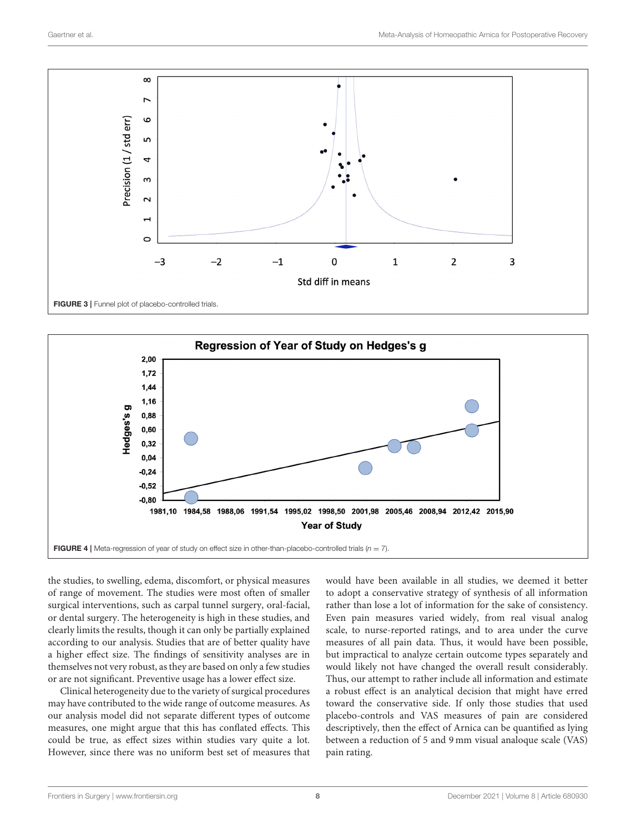

<span id="page-7-0"></span>

<span id="page-7-1"></span>the studies, to swelling, edema, discomfort, or physical measures of range of movement. The studies were most often of smaller surgical interventions, such as carpal tunnel surgery, oral-facial, or dental surgery. The heterogeneity is high in these studies, and clearly limits the results, though it can only be partially explained according to our analysis. Studies that are of better quality have a higher effect size. The findings of sensitivity analyses are in themselves not very robust, as they are based on only a few studies or are not significant. Preventive usage has a lower effect size.

Clinical heterogeneity due to the variety of surgical procedures may have contributed to the wide range of outcome measures. As our analysis model did not separate different types of outcome measures, one might argue that this has conflated effects. This could be true, as effect sizes within studies vary quite a lot. However, since there was no uniform best set of measures that would have been available in all studies, we deemed it better to adopt a conservative strategy of synthesis of all information rather than lose a lot of information for the sake of consistency. Even pain measures varied widely, from real visual analog scale, to nurse-reported ratings, and to area under the curve measures of all pain data. Thus, it would have been possible, but impractical to analyze certain outcome types separately and would likely not have changed the overall result considerably. Thus, our attempt to rather include all information and estimate a robust effect is an analytical decision that might have erred toward the conservative side. If only those studies that used placebo-controls and VAS measures of pain are considered descriptively, then the effect of Arnica can be quantified as lying between a reduction of 5 and 9 mm visual analoque scale (VAS) pain rating.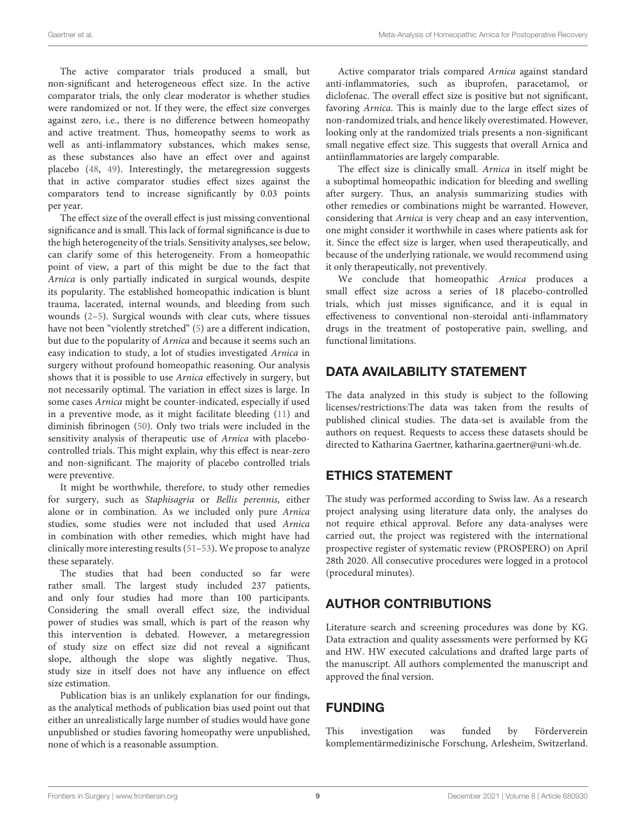The active comparator trials produced a small, but non-significant and heterogeneous effect size. In the active comparator trials, the only clear moderator is whether studies were randomized or not. If they were, the effect size converges against zero, i.e., there is no difference between homeopathy and active treatment. Thus, homeopathy seems to work as well as anti-inflammatory substances, which makes sense, as these substances also have an effect over and against placebo [\(48,](#page-10-9) [49\)](#page-10-10). Interestingly, the metaregression suggests that in active comparator studies effect sizes against the comparators tend to increase significantly by 0.03 points per year.

The effect size of the overall effect is just missing conventional significance and is small. This lack of formal significance is due to the high heterogeneity of the trials. Sensitivity analyses, see below, can clarify some of this heterogeneity. From a homeopathic point of view, a part of this might be due to the fact that Arnica is only partially indicated in surgical wounds, despite its popularity. The established homeopathic indication is blunt trauma, lacerated, internal wounds, and bleeding from such wounds [\(2](#page-9-36)[–5\)](#page-9-1). Surgical wounds with clear cuts, where tissues have not been "violently stretched" [\(5\)](#page-9-1) are a different indication, but due to the popularity of Arnica and because it seems such an easy indication to study, a lot of studies investigated Arnica in surgery without profound homeopathic reasoning. Our analysis shows that it is possible to use Arnica effectively in surgery, but not necessarily optimal. The variation in effect sizes is large. In some cases Arnica might be counter-indicated, especially if used in a preventive mode, as it might facilitate bleeding [\(11\)](#page-9-7) and diminish fibrinogen [\(50\)](#page-10-11). Only two trials were included in the sensitivity analysis of therapeutic use of Arnica with placebocontrolled trials. This might explain, why this effect is near-zero and non-significant. The majority of placebo controlled trials were preventive.

It might be worthwhile, therefore, to study other remedies for surgery, such as Staphisagria or Bellis perennis, either alone or in combination. As we included only pure Arnica studies, some studies were not included that used Arnica in combination with other remedies, which might have had clinically more interesting results [\(51–](#page-10-12)[53\)](#page-10-13). We propose to analyze these separately.

The studies that had been conducted so far were rather small. The largest study included 237 patients, and only four studies had more than 100 participants. Considering the small overall effect size, the individual power of studies was small, which is part of the reason why this intervention is debated. However, a metaregression of study size on effect size did not reveal a significant slope, although the slope was slightly negative. Thus, study size in itself does not have any influence on effect size estimation.

Publication bias is an unlikely explanation for our findings, as the analytical methods of publication bias used point out that either an unrealistically large number of studies would have gone unpublished or studies favoring homeopathy were unpublished, none of which is a reasonable assumption.

Active comparator trials compared Arnica against standard anti-inflammatories, such as ibuprofen, paracetamol, or diclofenac. The overall effect size is positive but not significant, favoring Arnica. This is mainly due to the large effect sizes of non-randomized trials, and hence likely overestimated. However, looking only at the randomized trials presents a non-significant small negative effect size. This suggests that overall Arnica and antiinflammatories are largely comparable.

The effect size is clinically small. Arnica in itself might be a suboptimal homeopathic indication for bleeding and swelling after surgery. Thus, an analysis summarizing studies with other remedies or combinations might be warranted. However, considering that Arnica is very cheap and an easy intervention, one might consider it worthwhile in cases where patients ask for it. Since the effect size is larger, when used therapeutically, and because of the underlying rationale, we would recommend using it only therapeutically, not preventively.

We conclude that homeopathic Arnica produces a small effect size across a series of 18 placebo-controlled trials, which just misses significance, and it is equal in effectiveness to conventional non-steroidal anti-inflammatory drugs in the treatment of postoperative pain, swelling, and functional limitations.

# DATA AVAILABILITY STATEMENT

The data analyzed in this study is subject to the following licenses/restrictions:The data was taken from the results of published clinical studies. The data-set is available from the authors on request. Requests to access these datasets should be directed to Katharina Gaertner, katharina.gaertner@uni-wh.de.

# ETHICS STATEMENT

The study was performed according to Swiss law. As a research project analysing using literature data only, the analyses do not require ethical approval. Before any data-analyses were carried out, the project was registered with the international prospective register of systematic review (PROSPERO) on April 28th 2020. All consecutive procedures were logged in a protocol (procedural minutes).

# AUTHOR CONTRIBUTIONS

Literature search and screening procedures was done by KG. Data extraction and quality assessments were performed by KG and HW. HW executed calculations and drafted large parts of the manuscript. All authors complemented the manuscript and approved the final version.

# FUNDING

This investigation was funded by Förderverein komplementärmedizinische Forschung, Arlesheim, Switzerland.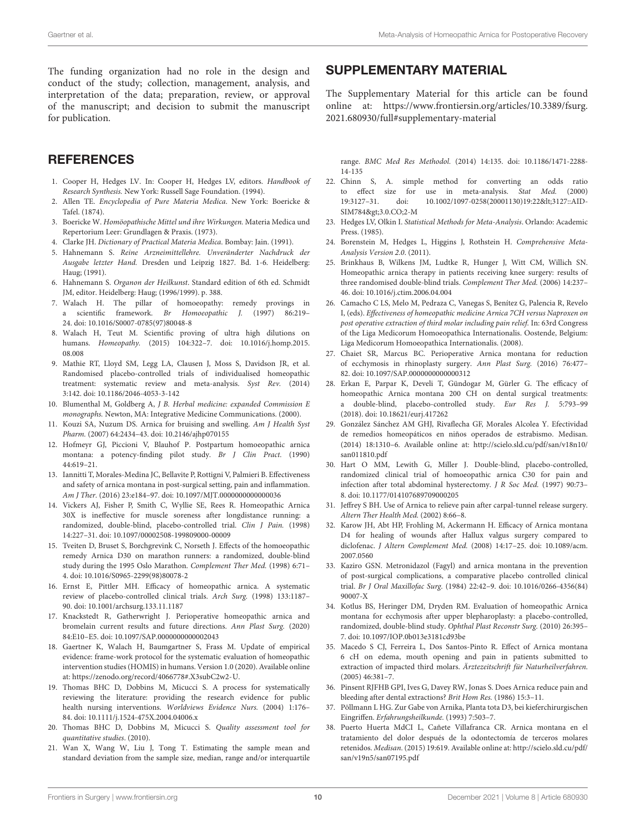The funding organization had no role in the design and conduct of the study; collection, management, analysis, and interpretation of the data; preparation, review, or approval of the manuscript; and decision to submit the manuscript for publication.

### **REFERENCES**

- <span id="page-9-0"></span>1. Cooper H, Hedges LV. In: Cooper H, Hedges LV, editors. Handbook of Research Synthesis. New York: Russell Sage Foundation. (1994).
- <span id="page-9-36"></span>2. Allen TE. Encyclopedia of Pure Materia Medica. New York: Boericke & Tafel. (1874).
- 3. Boericke W. Homöopathische Mittel und ihre Wirkungen. Materia Medica und Repertorium Leer: Grundlagen & Praxis. (1973).
- 4. Clarke JH. Dictionary of Practical Materia Medica. Bombay: Jain. (1991).
- <span id="page-9-1"></span>5. Hahnemann S. Reine Arzneimittellehre. Unveränderter Nachdruck der Ausgabe letzter Hand. Dresden und Leipzig 1827. Bd. 1-6. Heidelberg: Haug; (1991).
- <span id="page-9-2"></span>6. Hahnemann S. Organon der Heilkunst. Standard edition of 6th ed. Schmidt JM, editor. Heidelberg: Haug; (1996/1999). p. 388.
- <span id="page-9-3"></span>7. Walach H. The pillar of homoeopathy: remedy provings in a scientific framework. Br Homoeopathic J. (1997) 86:219– 24. doi: [10.1016/S0007-0785\(97\)80048-8](https://doi.org/10.1016/S0007-0785(97)80048-8)
- <span id="page-9-4"></span>8. Walach H, Teut M. Scientific proving of ultra high dilutions on humans. Homeopathy. [\(2015\) 104:322–7. doi: 10.1016/j.homp.2015.](https://doi.org/10.1016/j.homp.2015.08.008) 08.008
- <span id="page-9-5"></span>9. Mathie RT, Lloyd SM, Legg LA, Clausen J, Moss S, Davidson JR, et al. Randomised placebo-controlled trials of individualised homeopathic treatment: systematic review and meta-analysis. Syst Rev. (2014) 3:142. doi: [10.1186/2046-4053-3-142](https://doi.org/10.1186/2046-4053-3-142)
- <span id="page-9-6"></span>10. Blumenthal M, Goldberg A, J B. Herbal medicine: expanded Commission E monographs. Newton, MA: Integrative Medicine Communications. (2000).
- <span id="page-9-7"></span>11. Kouzi SA, Nuzum DS. Arnica for bruising and swelling. Am J Health Syst Pharm. (2007) 64:2434–43. doi: [10.2146/ajhp070155](https://doi.org/10.2146/ajhp070155)
- <span id="page-9-8"></span>12. Hofmeyr GJ, Piccioni V, Blauhof P. Postpartum homoeopathic arnica montana: a potency-finding pilot study. Br J Clin Pract. (1990) 44:619–21.
- <span id="page-9-9"></span>13. Iannitti T, Morales-Medina JC, Bellavite P, Rottigni V, Palmieri B. Effectiveness and safety of arnica montana in post-surgical setting, pain and inflammation. Am J Ther. (2016) 23:e184–97. doi: [10.1097/MJT.0000000000000036](https://doi.org/10.1097/MJT.0000000000000036)
- <span id="page-9-10"></span>14. Vickers AJ, Fisher P, Smith C, Wyllie SE, Rees R. Homeopathic Arnica 30X is ineffective for muscle soreness after longdistance running: a randomized, double-blind, placebo-controlled trial. Clin J Pain. (1998) 14:227–31. doi: [10.1097/00002508-199809000-00009](https://doi.org/10.1097/00002508-199809000-00009)
- <span id="page-9-11"></span>15. Tveiten D, Bruset S, Borchgrevink C, Norseth J. Effects of the homoeopathic remedy Arnica D30 on marathon runners: a randomized, double-blind study during the 1995 Oslo Marathon. Complement Ther Med. (1998) 6:71– 4. doi: [10.1016/S0965-2299\(98\)80078-2](https://doi.org/10.1016/S0965-2299(98)80078-2)
- <span id="page-9-12"></span>16. Ernst E, Pittler MH. Efficacy of homeopathic arnica. A systematic review of placebo-controlled clinical trials. Arch Surg. (1998) 133:1187– 90. doi: [10.1001/archsurg.133.11.1187](https://doi.org/10.1001/archsurg.133.11.1187)
- <span id="page-9-13"></span>17. Knackstedt R, Gatherwright J. Perioperative homeopathic arnica and bromelain current results and future directions. Ann Plast Surg. (2020) 84:E10–E5. doi: [10.1097/SAP.0000000000002043](https://doi.org/10.1097/SAP.0000000000002043)
- <span id="page-9-14"></span>18. Gaertner K, Walach H, Baumgartner S, Frass M. Update of empirical evidence: frame-work protocol for the systematic evaluation of homeopathic intervention studies (HOMIS) in humans. Version 1.0 (2020). Available online at: [https://zenodo.org/record/4066778#.X3subC2w2-U.](https://zenodo.org/record/4066778#.X3subC2w2-U)
- <span id="page-9-16"></span>19. Thomas BHC D, Dobbins M, Micucci S. A process for systematically reviewing the literature: providing the research evidence for public health nursing interventions. Worldviews Evidence Nurs. (2004) 1:176– 84. doi: [10.1111/j.1524-475X.2004.04006.x](https://doi.org/10.1111/j.1524-475X.2004.04006.x)
- <span id="page-9-17"></span>20. Thomas BHC D, Dobbins M, Micucci S. Quality assessment tool for quantitative studies. (2010).
- <span id="page-9-18"></span>21. Wan X, Wang W, Liu J, Tong T. Estimating the sample mean and standard deviation from the sample size, median, range and/or interquartile

# SUPPLEMENTARY MATERIAL

<span id="page-9-15"></span>The Supplementary Material for this article can be found [online at: https://www.frontiersin.org/articles/10.3389/fsurg.](https://www.frontiersin.org/articles/10.3389/fsurg.2021.680930/full#supplementary-material) 2021.680930/full#supplementary-material

range. BMC Med Res Methodol. [\(2014\) 14:135. doi: 10.1186/1471-2288-](https://doi.org/10.1186/1471-2288-14-135) 14-135

- <span id="page-9-19"></span>22. Chinn S, A. simple method for converting an odds ratio to effect size for use in meta-analysis. Stat Med. (2000) 19:3127-31. doi: [10.1002/1097-0258\(20001130\)19:22<](https://doi.org/10.1002/1097-0258(20001130)19:22<)3127::AID-SIM784>3.0.CO;2-M
- <span id="page-9-20"></span>23. Hedges LV, Olkin I. Statistical Methods for Meta-Analysis. Orlando: Academic Press. (1985).
- <span id="page-9-21"></span>24. Borenstein M, Hedges L, Higgins J, Rothstein H. Comprehensive Meta-Analysis Version 2.0. (2011).
- <span id="page-9-22"></span>25. Brinkhaus B, Wilkens JM, Ludtke R, Hunger J, Witt CM, Willich SN. Homeopathic arnica therapy in patients receiving knee surgery: results of three randomised double-blind trials. Complement Ther Med. (2006) 14:237– 46. doi: [10.1016/j.ctim.2006.04.004](https://doi.org/10.1016/j.ctim.2006.04.004)
- <span id="page-9-23"></span>26. Camacho C LS, Melo M, Pedraza C, Vanegas S, Benítez G, Palencia R, Revelo I, (eds). Effectiveness of homeopathic medicine Arnica 7CH versus Naproxen on post operative extraction of third molar including pain relief. In: 63rd Congress of the Liga Medicorum Homoeopathica Internationalis. Oostende, Belgium: Liga Medicorum Homoeopathica Internationalis. (2008).
- <span id="page-9-25"></span>27. Chaiet SR, Marcus BC. Perioperative Arnica montana for reduction of ecchymosis in rhinoplasty surgery. Ann Plast Surg. (2016) 76:477– 82. doi: [10.1097/SAP.0000000000000312](https://doi.org/10.1097/SAP.0000000000000312)
- <span id="page-9-27"></span>28. Erkan E, Parpar K, Develi T, Gündogar M, Gürler G. The efficacy of homeopathic Arnica montana 200 CH on dental surgical treatments: a double-blind, placebo-controlled study. Eur Res J. 5:793–99 (2018). doi: [10.18621/eurj.417262](https://doi.org/10.18621/eurj.417262)
- <span id="page-9-34"></span>29. González Sánchez AM GHJ, Rivaflecha GF, Morales Alcolea Y. Efectividad de remedios homeopáticos en niños operados de estrabismo. Medisan. (2014) 18:1310–6. Available online at: [http://scielo.sld.cu/pdf/san/v18n10/](http://scielo.sld.cu/pdf/san/v18n10/san011810.pdf) [san011810.pdf](http://scielo.sld.cu/pdf/san/v18n10/san011810.pdf)
- <span id="page-9-28"></span>30. Hart O MM, Lewith G, Miller J. Double-blind, placebo-controlled, randomized clinical trial of homoeopathic arnica C30 for pain and infection after total abdominal hysterectomy. J R Soc Med. (1997) 90:73– 8. doi: [10.1177/014107689709000205](https://doi.org/10.1177/014107689709000205)
- <span id="page-9-24"></span>31. Jeffrey S BH. Use of Arnica to relieve pain after carpal-tunnel release surgery. Altern Ther Health Med. (2002) 8:66–8.
- <span id="page-9-35"></span>32. Karow JH, Abt HP, Frohling M, Ackermann H. Efficacy of Arnica montana D4 for healing of wounds after Hallux valgus surgery compared to diclofenac. J Altern Complement Med. [\(2008\) 14:17–25. doi: 10.1089/acm.](https://doi.org/10.1089/acm.2007.0560) 2007.0560
- <span id="page-9-29"></span>33. Kaziro GSN. Metronidazol (Fagyl) and arnica montana in the prevention of post-surgical complications, a comparative placebo controlled clinical trial. Br J Oral Maxillofac Surg. [\(1984\) 22:42–9. doi: 10.1016/0266-4356\(84\)](https://doi.org/10.1016/0266-4356(84)90007-X) 90007-X
- <span id="page-9-30"></span>34. Kotlus BS, Heringer DM, Dryden RM. Evaluation of homeopathic Arnica montana for ecchymosis after upper blepharoplasty: a placebo-controlled, randomized, double-blind study. Ophthal Plast Reconstr Surg. (2010) 26:395– 7. doi: [10.1097/IOP.0b013e3181cd93be](https://doi.org/10.1097/IOP.0b013e3181cd93be)
- <span id="page-9-31"></span>35. Macedo S CJ, Ferreira L, Dos Santos-Pinto R. Effect of Arnica montana 6 cH on edema, mouth opening and pain in patients submitted to extraction of impacted third molars. Ärztezeitschrift für Naturheilverfahren. (2005) 46:381–7.
- <span id="page-9-32"></span>36. Pinsent RJFHB GPI, Ives G, Davey RW, Jonas S. Does Arnica reduce pain and bleeding after dental extractions? Brit Hom Res. (1986) 15:3–11.
- <span id="page-9-33"></span>37. Pöllmann L HG. Zur Gabe von Arnika, Planta tota D3, bei kieferchirurgischen Eingriffen. Erfahrungsheilkunde. (1993) 7:503–7.
- <span id="page-9-26"></span>38. Puerto Huerta MdCI L, Cañete Villafranca CR. Arnica montana en el tratamiento del dolor después de la odontectomía de terceros molares retenidos. Medisan. (2015) 19:619. Available online at: [http://scielo.sld.cu/pdf/](http://scielo.sld.cu/pdf/san/v19n5/san07195.pdf) [san/v19n5/san07195.pdf](http://scielo.sld.cu/pdf/san/v19n5/san07195.pdf)